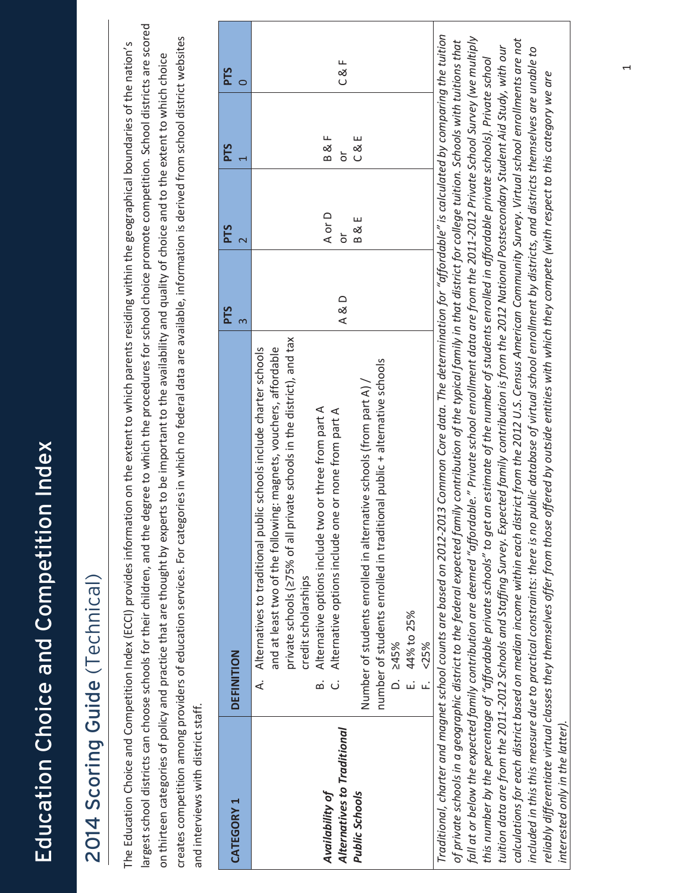#### 2014 Scoring Guide (Technical) 2014 Scoring Guide (Technical)

largest school districts can choose schools for their children, and the degree to which the procedures for school choice promote competition. School districts are scored largest school districts can choose schools for their children, and the degree to which the procedures for school choice promote competition. School districts are scored creates competition among providers of education services. For categories in which no federal data are available, information is derived from school district websites creates competition among providers of education services. For categories in which no federal data are available, information is derived from school district websites The Education Choice and Competition Index (ECCI) provides information on the extent to which parents residing within the geographical boundaries of the nation's The Education Choice and Competition Index (ECCI) provides information on the extent to which parents residing within the geographical boundaries of the nation's on thirteen categories of policy and practice that are thought by experts to be important to the availability and quality of choice and to the extent to which choice on thirteen categories of policy and practice that are thought by experts to be important to the availability and quality of choice and to the extent to which choice and interviews with district staff. and interviews with district staff.

| <b>CATEGORY 1</b>                                                | <b>DEFINITION</b>                                                                                                                                                                                                                                                                                                                                                                                                                                                                                                                                             | <b>PTS</b> | <b>PTS</b>           | <b>PTS</b>          | <b>PTS</b> |
|------------------------------------------------------------------|---------------------------------------------------------------------------------------------------------------------------------------------------------------------------------------------------------------------------------------------------------------------------------------------------------------------------------------------------------------------------------------------------------------------------------------------------------------------------------------------------------------------------------------------------------------|------------|----------------------|---------------------|------------|
| Alternatives to Traditional<br>Availability of<br>Public Schools | private schools (275% of all private schools in the district), and tax<br>A. Alternatives to traditional public schools include charter schools<br>and at least two of the following: magnets, vouchers, affordable<br>number of students enrolled in traditional public + alternative schools<br>Number of students enrolled in alternative schools (from part A) /<br>Alternative options include two or three from part A<br>Alternative options include one or none from part A<br>credit scholarships<br>E. 44% to 25%<br>$D. \ge 45\%$<br>F. <25%<br>ക് | A & D      | A or D<br>B & E<br>ŏ | C & E<br>B & F<br>ŏ | C & F      |
|                                                                  | Traditional, charter and magnet school counts are based on 2012-2013 Common Core data. The determination for "affordable" is calculated by comparing the tuition<br>fall at or below the expected family contribution are deemed "affordable." Private school enrollment data are from the 2011-2012 Private School Survey (we multiply<br>of private schools in a geographic district to the federal expected family contribution of the typical family in that district for college tuition. Schools with tuitions that                                     |            |                      |                     |            |

calculations for each district based on median income within each district from the 2012 U.S. Census American Community Survey. Virtual school enrollments are not calculations for each district based on median income within each district from the 2012 U.S. Census American Community Survey. Virtual school enrollments are not tuition data are from the 2011-2012 Schools and Staffing Survey. Expected family contribution is from the 2012 National Postsecondary Student Aid Study, with our included in this this measure due to practical constraints: there is no public database of virtual school enrollment by districts, and districts themselves are unable to tuition data are from the 2011-2012 Schools and Staffing Survey. Expected family contribution is from the 2012 National Postsecondary Student Aid Study, with our included in this this measure due to practical constraints: there is no public database of virtual school enrollment by districts, and districts themselves are unable to this number by the percentage of "affordable private schools" to get an estimate of the number of students enrolled in affordable private schools). Private school this number by the percentage of "affordable private schools" to get an estimate of the number of students enrolled in affordable private schools). Private school reliably differentiate virtual classes they themselves offer from those offered by outside entities with which they compete (with respect to this category we are reliably differentiate virtual classes they themselves offer from those offered by outside entities with which they compete (with respect to this category we are interested only in the latter). *interested only in the latter).*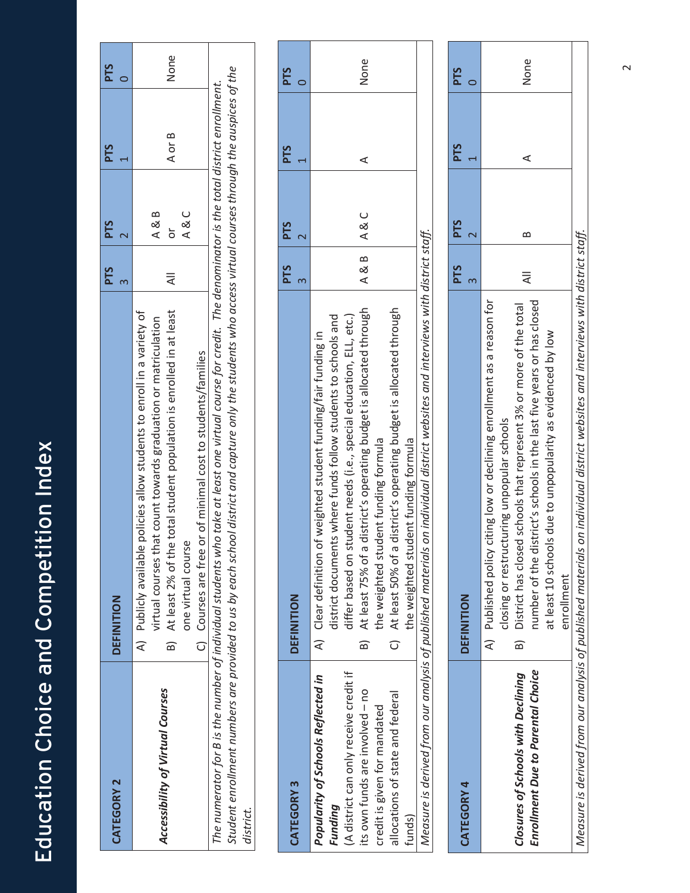| <b>CATEGORY 2</b>                | DEFINITION                                                                                                                                                                                                                                                                                                                | <b>PTS</b> | <b>PTS</b>           | <b>PTS</b> | <b>PTS</b> |
|----------------------------------|---------------------------------------------------------------------------------------------------------------------------------------------------------------------------------------------------------------------------------------------------------------------------------------------------------------------------|------------|----------------------|------------|------------|
| Accessibility of Virtual Courses | B) At least 2% of the total student population is enrolled in at least<br>A) Publicly available policies allow students to enroll in a variety of<br>virtual courses that count towards graduation or matriculation<br>C) Courses are free or of minimal cost to students/families<br>one virtual course                  | ₹          | C<br>≪<br>A & B<br>ă | A or B     | None       |
| district.                        | Student enrollment numbers are provided to us by each school district and capture only the students who access virtual courses through the auspices of the<br>The numerator for B is the number of individual students who take at least one virtual course for credit. The denominator is the total district enrollment. |            |                      |            |            |

|                                        |                                                                                                                                 | <b>PTS</b> | <b>PTS</b>                 | <b>PTS</b> | <b>PTS</b> |
|----------------------------------------|---------------------------------------------------------------------------------------------------------------------------------|------------|----------------------------|------------|------------|
| <b>CATEGORY 3</b>                      | <b>DEFINITION</b>                                                                                                               |            |                            |            |            |
| Popularity of Schools Reflected in     | of weighted student funding/fair funding in<br>A) Clear definition                                                              |            |                            |            |            |
| Funding                                | district documents where funds follow students to schools and                                                                   |            |                            |            |            |
| (A district can only receive credit if | differ based on student needs (i.e., special education, ELL, etc.)                                                              |            |                            |            |            |
| its own funds are involved - no        | At least 75% of a district's operating budget is allocated through<br>$\frac{1}{1}$                                             | $A$ & B    | $\triangle$ $\&$ $\subset$ |            | None       |
| credit is given for mandated           | the weighted student funding formula                                                                                            |            |                            |            |            |
| allocations of state and federal       | C) At least 50% of a district's operating budget is allocated through                                                           |            |                            |            |            |
| funds)                                 | the weighted student funding formula                                                                                            |            |                            |            |            |
|                                        | Measure is derived from our analysis of published materials on individual district websites and interviews with district staff. |            |                            |            |            |
|                                        |                                                                                                                                 |            |                            |            |            |

| <b>CATEGORY 4</b>                                                              | DEFINITION                                                                                                                                                                                                                                                                                                                                                        | <b>PTS</b> | <b>PTS</b> | <b>PTS</b> | <b>PTS</b> |
|--------------------------------------------------------------------------------|-------------------------------------------------------------------------------------------------------------------------------------------------------------------------------------------------------------------------------------------------------------------------------------------------------------------------------------------------------------------|------------|------------|------------|------------|
| <b>Enrollment Due to Parental Choice</b><br>Closures of Schools with Declining | A) Published policy citing low or declining enrollment as a reason for<br>number of the district's schools in the last five years or has closed<br>District has closed schools that represent 3% or more of the total<br>at least 10 schools due to unpopularity as evidenced by low<br>closing or restructuring unpopular schools<br>enrollment<br>$\widehat{B}$ |            | ≃          | ⋖          | None       |
|                                                                                | Measure is derived from our analysis of published materials on individual district websites and interviews with district staff.                                                                                                                                                                                                                                   |            |            |            |            |

 $\sim$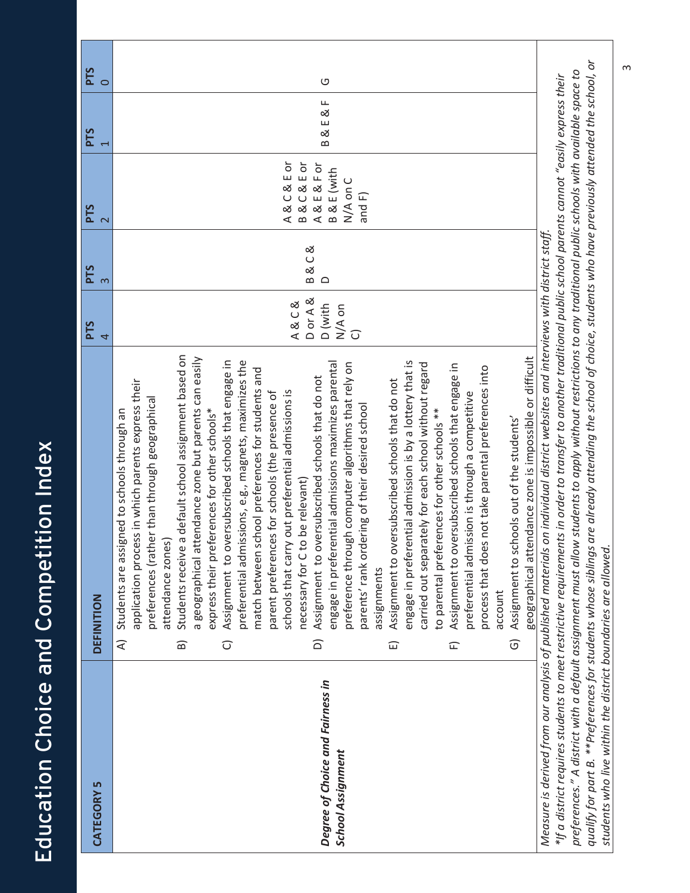|                                                               |                                                                                                                                                                                                                                                                                                                                                                                                                                                                                                                                                                                                                                                                                                                                                                                                                                                                                                                                                                                                                                                                                                                                                                                                                                                                                                                                                                                                                                                                                                                                               | <b>PTS</b>                                                    |                   |                                                                                   | <b>PTS</b> |               |
|---------------------------------------------------------------|-----------------------------------------------------------------------------------------------------------------------------------------------------------------------------------------------------------------------------------------------------------------------------------------------------------------------------------------------------------------------------------------------------------------------------------------------------------------------------------------------------------------------------------------------------------------------------------------------------------------------------------------------------------------------------------------------------------------------------------------------------------------------------------------------------------------------------------------------------------------------------------------------------------------------------------------------------------------------------------------------------------------------------------------------------------------------------------------------------------------------------------------------------------------------------------------------------------------------------------------------------------------------------------------------------------------------------------------------------------------------------------------------------------------------------------------------------------------------------------------------------------------------------------------------|---------------------------------------------------------------|-------------------|-----------------------------------------------------------------------------------|------------|---------------|
| CATEGORY 5                                                    | DEFINITION                                                                                                                                                                                                                                                                                                                                                                                                                                                                                                                                                                                                                                                                                                                                                                                                                                                                                                                                                                                                                                                                                                                                                                                                                                                                                                                                                                                                                                                                                                                                    | 4                                                             | PTS<br>$\infty$   | PTS                                                                               |            | $\frac{1}{2}$ |
| Degree of Choice and Fairness in<br><b>School Assignment</b>  | Students receive a default school assignment based on<br>geographical attendance zone is impossible or difficult<br>a geographical attendance zone but parents can easily<br>preferential admissions, e.g., magnets, maximizes the<br>Assignment to oversubscribed schools that engage in<br>engage in preferential admissions maximizes parental<br>engage in preferential admission is by a lottery that is<br>preference through computer algorithms that rely on<br>carried out separately for each school without regard<br>Assignment to oversubscribed schools that engage in<br>process that does not take parental preferences into<br>match between school preferences for students and<br>Assignment to oversubscribed schools that do not<br>Assignment to oversubscribed schools that do not<br>application process in which parents express their<br>schools that carry out preferential admissions is<br>parent preferences for schools (the presence of<br>preferential admission is through a competitive<br>preferences (rather than through geographical<br>parents' rank ordering of their desired school<br>to parental preferences for other schools **<br>Students are assigned to schools through an<br>express their preferences for other schools*<br>Assignment to schools out of the students'<br>necessary for C to be relevant)<br>attendance zones)<br>assignments<br>account<br>$\widehat{\sigma}$<br>$\widehat{\triangle}$<br>$\widehat{\mathbf{B}}$<br>ব<br>$\widehat{\cup}$<br>$\widehat{\mathbb{E}}$<br>E | D or A &<br>A&C&<br>D (with<br>N/A on<br>$\widehat{\bigcirc}$ | B&C&<br>$\supset$ | A&C&Eor<br><b>B&amp;C&amp;EOr</b><br>A&E&For<br>B & E (with<br>N/A on C<br>and F) | B&E&F      | O             |
|                                                               | qualify for part B. **Preferences for students whose siblings are already attending the school of choice, students who have previously attended the school, or<br>preferences." A district with a default assignment must allow students to apply without restrictions to any traditional public schools with available space to<br>*If a district requires students to meet restrictive requirements in order to transfer to another traditional public school parents cannot "easily express their<br>Measure is derived from our analysis of published materials on individual district websites and interviews with district staff.                                                                                                                                                                                                                                                                                                                                                                                                                                                                                                                                                                                                                                                                                                                                                                                                                                                                                                       |                                                               |                   |                                                                                   |            |               |
| students who live within the district boundaries are allowed. |                                                                                                                                                                                                                                                                                                                                                                                                                                                                                                                                                                                                                                                                                                                                                                                                                                                                                                                                                                                                                                                                                                                                                                                                                                                                                                                                                                                                                                                                                                                                               |                                                               |                   |                                                                                   |            |               |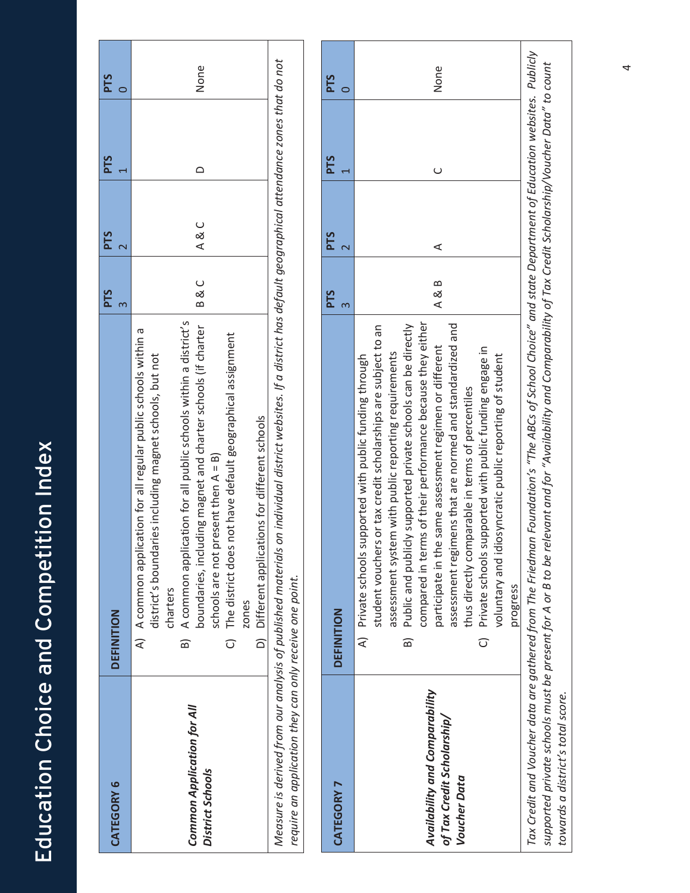| <b>CATEGORY 6</b>                                                                                                      | DEFINITION                                                                                                                                                                                                                                                                                                                                                                                                                                          | <b>PTS</b> |          | <b>PTS</b> | <b>PTS</b> | <b>PTS</b> |
|------------------------------------------------------------------------------------------------------------------------|-----------------------------------------------------------------------------------------------------------------------------------------------------------------------------------------------------------------------------------------------------------------------------------------------------------------------------------------------------------------------------------------------------------------------------------------------------|------------|----------|------------|------------|------------|
| Common Application for All<br>District Schools                                                                         | B) A common application for all public schools within a district's<br>boundaries, including magnet and charter schools (if charter<br>A) A common application for all regular public schools within a<br>not have default geographical assignment<br>district's boundaries including magnet schools, but not<br>D) Different applications for different schools<br>schools are not present then A = B)<br>C) The district does<br>charters<br>zones |            | C<br>B & | C<br>≪     |            | None       |
| Measure is derived from our analysis of published materials<br>require an application they can only receive one point. | on individual district websites. If a district has default geographical attendance zones that do not                                                                                                                                                                                                                                                                                                                                                |            |          |            |            |            |

|                                                                                     |                                                                                                                                                                                                                                                                                                                                                                                                                                                                                                                                                                                                                                                   | <b>PTS</b> | <b>PTS</b> | PTS | PTS  |
|-------------------------------------------------------------------------------------|---------------------------------------------------------------------------------------------------------------------------------------------------------------------------------------------------------------------------------------------------------------------------------------------------------------------------------------------------------------------------------------------------------------------------------------------------------------------------------------------------------------------------------------------------------------------------------------------------------------------------------------------------|------------|------------|-----|------|
| CATEGORY 7                                                                          | DEFINITION                                                                                                                                                                                                                                                                                                                                                                                                                                                                                                                                                                                                                                        |            |            |     |      |
| Availability and Comparability<br>of Tax Credit Scholarship/<br><b>Voucher Data</b> | compared in terms of their performance because they either<br>Public and publicly supported private schools can be directly<br>assessment regimens that are normed and standardized and<br>student vouchers or tax credit scholarships are subject to an<br>participate in the same assessment regimen or different<br>C) Private schools supported with public funding engage in<br>assessment system with public reporting requirements<br>A) Private schools supported with public funding through<br>voluntary and idiosyncratic public reporting of student<br>thus directly comparable in terms of percentiles<br>progress<br>$\widehat{B}$ | A & B      | ⋖          |     | None |
|                                                                                     | Tax Credit and Voucher data are gathered from The Friedman Foundation's "The ABCs of School Choice" and state Department of Education websites. Publicly                                                                                                                                                                                                                                                                                                                                                                                                                                                                                          |            |            |     |      |
|                                                                                     | supported private schools must be present for A or B to be relevant and for "Availability and Comparability of Tax Credit Scholarship/Voucher Data" to count                                                                                                                                                                                                                                                                                                                                                                                                                                                                                      |            |            |     |      |

*towards*

*a*

*district's total score.*

4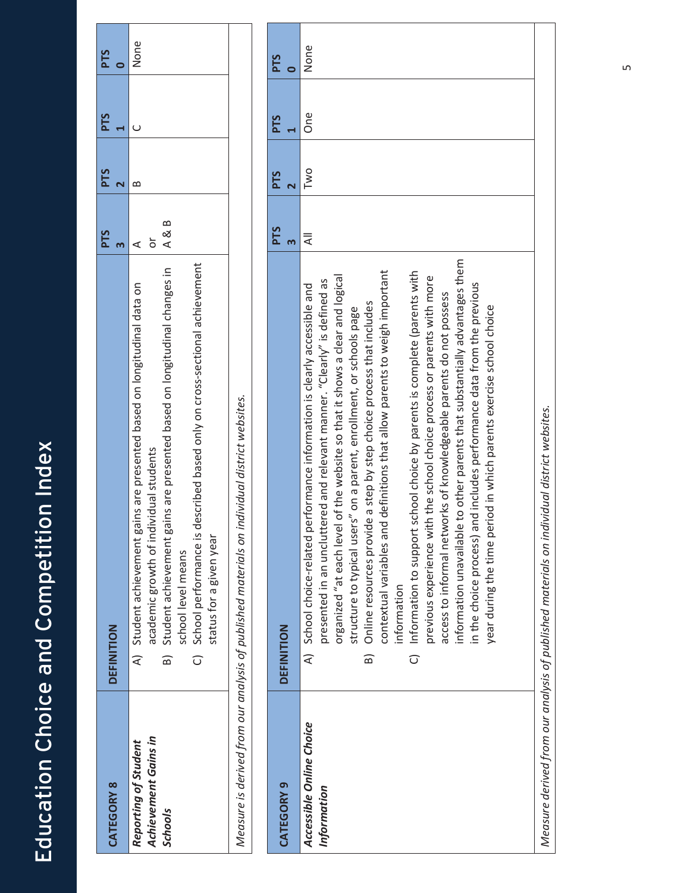| <b>CATEGORY 8</b>           | DEFINITION                                                                                        | <b>PTS</b> | <b>PTS</b> | <b>PTS</b> | PTS  |
|-----------------------------|---------------------------------------------------------------------------------------------------|------------|------------|------------|------|
|                             |                                                                                                   |            |            |            |      |
| Reporting of Student        | A) Student achievement gains are presented based on longitudinal data on                          |            |            |            | None |
| <b>Achievement Gains in</b> | academic growth of individual students                                                            |            |            |            |      |
| <b>Schools</b>              | B) Student achievement gains are presented based on longitudinal changes in                       | $A$ & B    |            |            |      |
|                             | school level means                                                                                |            |            |            |      |
|                             | described based only on cross-sectional achievement<br>C) School performance is o                 |            |            |            |      |
|                             | status for a given year                                                                           |            |            |            |      |
|                             | individual district websites.<br>Measure is derived from our analysis of published materials on i |            |            |            |      |

| <b>CATEGORY 9</b>                       | <b>DEFINITION</b> |                                                                                                                                                                                                                                                                                                                                                                                                                                                                                                                                                                                                                                                                                                                                                                                                                                                                                                                                                                | <b>PTS</b> | <b>PTS</b> | <b>PTS</b> | <b>PTS</b> |
|-----------------------------------------|-------------------|----------------------------------------------------------------------------------------------------------------------------------------------------------------------------------------------------------------------------------------------------------------------------------------------------------------------------------------------------------------------------------------------------------------------------------------------------------------------------------------------------------------------------------------------------------------------------------------------------------------------------------------------------------------------------------------------------------------------------------------------------------------------------------------------------------------------------------------------------------------------------------------------------------------------------------------------------------------|------------|------------|------------|------------|
| Accessible Online Choice<br>Information |                   | information unavailable to other parents that substantially advantages them<br>contextual variables and definitions that allow parents to weigh important<br>C) Information to support school choice by parents is complete (parents with<br>organized "at each level of the website so that it shows a clear and logical<br>previous experience with the school choice process or parents with more<br>presented in an uncluttered and relevant manner. "Clearly" is defined as<br>and includes performance data from the previous<br>performance information is clearly accessible and<br>access to informal networks of knowledgeable parents do not possess<br>B) Online resources provide a step by step choice process that includes<br>year during the time period in which parents exercise school choice<br>structure to typical users" on a parent, enrollment, or schools page<br>A) School choice-related<br>in the choice process)<br>information | ₹          | Two        | one        | None       |
|                                         |                   | Measure derived from our analysis of published materials on individual district websites.                                                                                                                                                                                                                                                                                                                                                                                                                                                                                                                                                                                                                                                                                                                                                                                                                                                                      |            |            |            |            |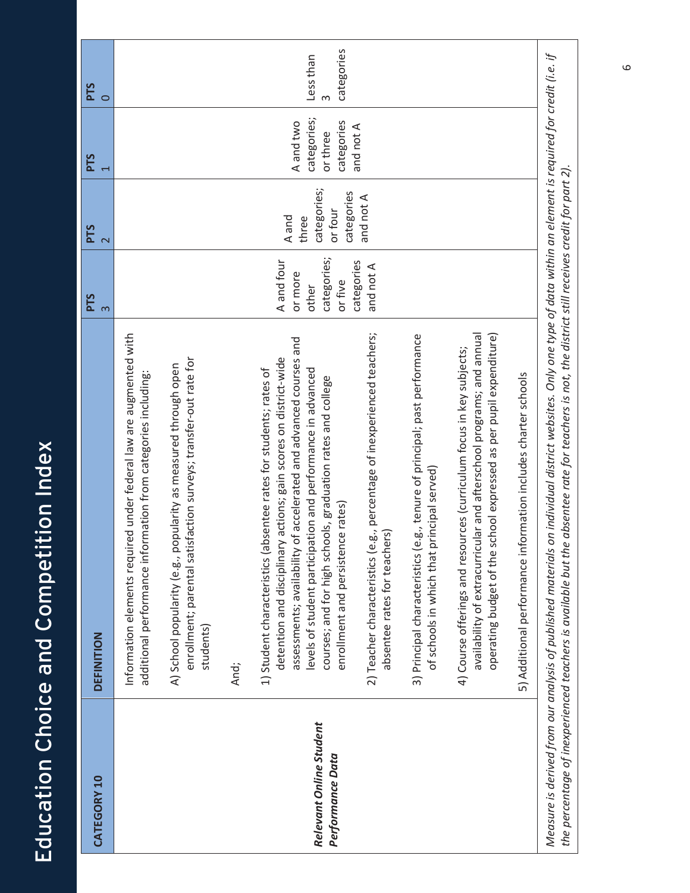| CATEGORY 10                                 | DEFINITION                                                                                                                                                                                                                                                                                                                                                                    | <b>PTS</b><br>3                                          | <b>PTS</b><br>$\overline{\mathsf{C}}$                  | <b>PTS</b>                                         | <b>PTS</b><br>$\circ$   |
|---------------------------------------------|-------------------------------------------------------------------------------------------------------------------------------------------------------------------------------------------------------------------------------------------------------------------------------------------------------------------------------------------------------------------------------|----------------------------------------------------------|--------------------------------------------------------|----------------------------------------------------|-------------------------|
|                                             | Information elements required under federal law are augmented with<br>additional performance information from categories including:                                                                                                                                                                                                                                           |                                                          |                                                        |                                                    |                         |
|                                             | enrollment; parental satisfaction surveys; transfer-out rate for<br>A) School popularity (e.g., popularity as measured through open<br>students)                                                                                                                                                                                                                              |                                                          |                                                        |                                                    |                         |
|                                             | And;                                                                                                                                                                                                                                                                                                                                                                          |                                                          |                                                        |                                                    |                         |
| Relevant Online Student<br>Performance Data | assessments; availability of accelerated and advanced courses and<br>detention and disciplinary actions; gain scores on district-wide<br>levels of student participation and performance in advanced<br>1) Student characteristics (absentee rates for students; rates of<br>courses; and for high schools, graduation rates and college<br>enrollment and persistence rates) | categories;<br>A and four<br>or more<br>or five<br>other | categories;<br>categories<br>or four<br>A and<br>three | categories;<br>categories<br>A and two<br>or three | categories<br>Less than |
|                                             | 2) Teacher characteristics (e.g., percentage of inexperienced teachers;<br>absentee rates for teachers)                                                                                                                                                                                                                                                                       | categories<br>and not A                                  | and not A                                              | and not A                                          |                         |
|                                             | 3) Principal characteristics (e.g., tenure of principal; past performance<br>principal served)<br>of schools in which that                                                                                                                                                                                                                                                    |                                                          |                                                        |                                                    |                         |
|                                             | availability of extracurricular and afterschool programs; and annual<br>school expressed as per pupil expenditure)<br>4) Course offerings and resources (curriculum focus in key subjects;<br>operating budget of the                                                                                                                                                         |                                                          |                                                        |                                                    |                         |
|                                             | 5) Additional performance information includes charter schools                                                                                                                                                                                                                                                                                                                |                                                          |                                                        |                                                    |                         |

Education Choice and Competition Index

Education Choice and Competition Index

Measure is derived from our analysis of published materials on individual district websites. Only one type of data within an element is required for credit (i.e. if Measure is derived from our analysis of published materials on individual district websites. Only one type of data within an element is required for credit (i.e. if the percentage of inexperienced teachers is available but the absentee rate for teachers is not, the district still receives credit for part 2). the percentage of inexperienced teachers is available but the absentee rate for teachers is not, the district still receives credit for part 2).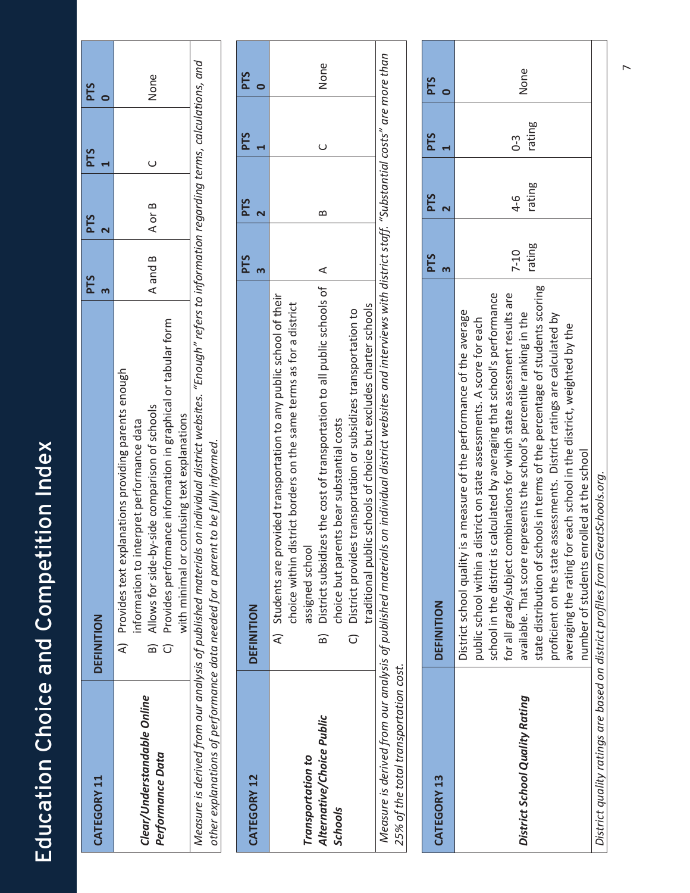| ∫<br>F<br>$\overline{\mathbf{)}}$                                                 |
|-----------------------------------------------------------------------------------|
|                                                                                   |
|                                                                                   |
|                                                                                   |
|                                                                                   |
| <u>Vication Choice and Compatition Indove</u><br>こりりつり<br>$\overline{\mathbf{C}}$ |

| CATEGORY 11                                                                                          | DEFINITION                                                                                                                                                                                                                                                                                                                                                                                                                                                                     | <b>PTS</b><br>m    | PTS<br>$\overline{\mathbf{C}}$        | <b>PTS</b>      | PTS<br>$\bullet$        |
|------------------------------------------------------------------------------------------------------|--------------------------------------------------------------------------------------------------------------------------------------------------------------------------------------------------------------------------------------------------------------------------------------------------------------------------------------------------------------------------------------------------------------------------------------------------------------------------------|--------------------|---------------------------------------|-----------------|-------------------------|
| Clear/Understandable Online<br>Performance Data                                                      | Provides performance information in graphical or tabular form<br>Provides text explanations providing parents enough<br>Allows for side-by-side comparison of schools<br>with minimal or confusing text explanations<br>erpret performance data<br>information to int<br>$\widehat{\mathcal{A}}$<br>$\widehat{\bigcirc}$<br>බ                                                                                                                                                  | A and B            | $\cup$<br>A or B                      |                 | None                    |
|                                                                                                      | Measure is derived from our analysis of published materials on individual district websites. "Enough" refers to information regarding terms, calculations, and<br>other explanations of performance data needed for a parent to be fully informed.                                                                                                                                                                                                                             |                    |                                       |                 |                         |
|                                                                                                      |                                                                                                                                                                                                                                                                                                                                                                                                                                                                                |                    |                                       |                 |                         |
| CATEGORY 12                                                                                          | DEFINITION                                                                                                                                                                                                                                                                                                                                                                                                                                                                     | <b>PTS</b><br>m    | <b>PTS</b>                            | <b>PTS</b>      | <b>PTS</b><br>$\bullet$ |
| Alternative/Choice Public<br>Transportation to<br><b>Schools</b>                                     | District subsidizes the cost of transportation to all public schools of<br>Students are provided transportation to any public school of their<br>strict borders on the same terms as for a district<br>traditional public schools of choice but excludes charter schools<br>District provides transportation or subsidizes transportation to<br>choice but parents bear substantial costs<br>choice within di<br>assigned school<br>₹<br>$\widehat{\bigcirc}$<br>ඛ             | ⋖                  | $\mathbf{\Omega}$                     | $\cup$          | None                    |
| Measure is derived from our analysis of published materials<br>25% of the total transportation cost. | on individual district websites and interviews with district staff. "Substantial costs" are more than                                                                                                                                                                                                                                                                                                                                                                          |                    |                                       |                 |                         |
| <b>CATEGORY 13</b>                                                                                   | <b>DEFINITION</b>                                                                                                                                                                                                                                                                                                                                                                                                                                                              | <b>PTS</b><br>3    | <b>PTS</b><br>$\overline{\mathbf{N}}$ | <b>PTS</b>      | <b>PTS</b>              |
| District School Quality Rating                                                                       | state distribution of schools in terms of the percentage of students scoring<br>calculated by averaging that school's performance<br>for all grade/subject combinations for which state assessment results are<br>District school quality is a measure of the performance of the average<br>presents the school's percentile ranking in the<br>public school within a district on state assessments. A score for each<br>available. That score re<br>school in the district is | rating<br>$7 - 10$ | rating<br>$4 - 6$                     | rating<br>$0-3$ | None                    |

 $\overline{r}$ 

proficient on the state assessments. District ratings are calculated by averaging the rating for each school in the district, weighted by the

proficient on the state assessments. District ratings are calculated by averaging the rating for each school in the district, weighted by the

number of students enrolled at the school

number of students enrolled at the school

*District quality ratings are based on district profiles from GreatSchools.org.*

District quality ratings are based on district profiles from GreatSchools.org.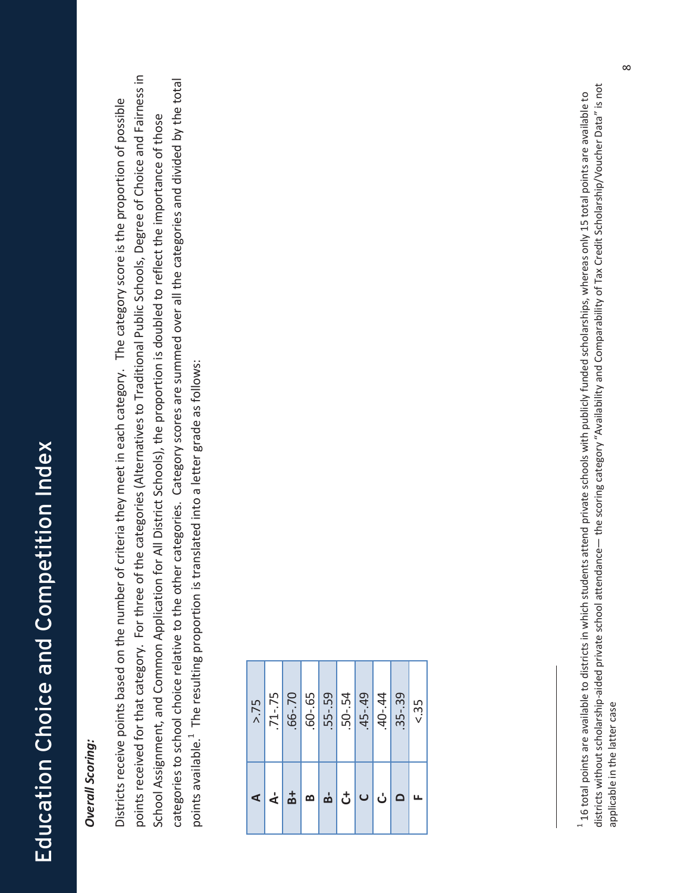#### **Overall Scoring:** *Overall Scoring:*

points received for that category. For three of the categories (Alternatives to Traditional Public Schools, Degree of Choice and Fairness in points received for that category. For three of the categories (Alternatives to Traditional Public Schools, Degree of Choice and Fairness in categories to school choice relative to the other categories. Category scores are summed over all the categories and divided by the total categories to school choice relative to the other categories. Category scores are summed over all the categories and divided by the total Districts receive points based on the number of criteria they meet in each category. The category score is the proportion of possible Districts receive points based on the number of criteria they meet in each category. The category score is the proportion of possible School Assignment, and Common Application for All District Schools), the proportion is doubled to reflect the importance of those School Assignment, and Common Application for All District Schools), the proportion is doubled to reflect the importance of those points available.<sup>1</sup> The resulting proportion is translated into a letter grade as follows: points available.<sup>1</sup> The resulting proportion is translated into a letter grade as follows:

| $-60 - 65$<br>$.50 - .54$<br>$-66 - 70$<br>.55-.59<br>$-45 - 49$<br>$.71 - .75$<br>$.40 - .44$<br>$.35 - .39$<br>> 75<br>$\frac{1}{2}$ ၀ ပါဝ<br>$\frac{1}{\mathbf{B}}$<br>മ $  \nabla  $<br>$\leq$ $\leq$ |  |
|-----------------------------------------------------------------------------------------------------------------------------------------------------------------------------------------------------------|--|
| & 35<br>LL.                                                                                                                                                                                               |  |

districts without scholarship-aided private school attendance— the scoring category "Availability and Comparability of Tax Credit Scholarship/Voucher Data" is not districts without scholarshipͲaided private school attendance— the scoring category "Availability and Comparability of Tax Credit Scholarship/Voucher Data" is not <sup>1</sup> 16 total points are available to districts in which students attend private schools with publicly funded scholarships, whereas only 15 total points are available to  $^\ast$  16 total points are available to districts in which students attend private schools with publicly funded scholarships, whereas only 15 total points are available to applicable in the latter case applicable in the latter case